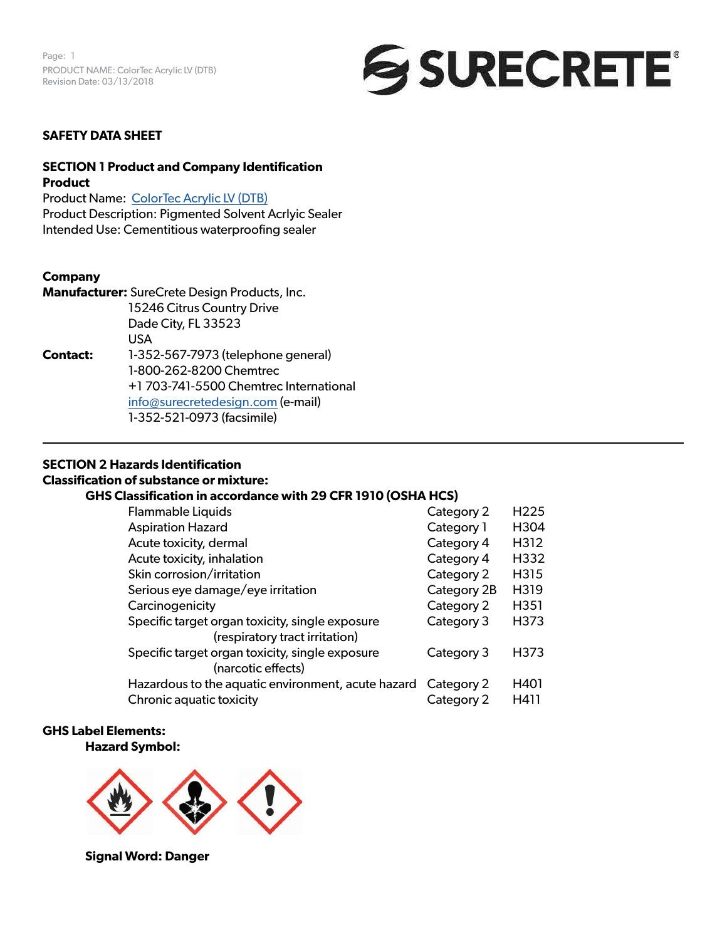

#### **SAFETY DATA SHEET**

## **SECTION 1 Product and Company Identification Product**

Product Name: [ColorTec Acrylic LV \(DTB\)](https://www.surecretedesign.com/product/exterior-concrete-paint/) Product Description: Pigmented Solvent Acrlyic Sealer Intended Use: Cementitious waterproofing sealer

#### **Company**

**Manufacturer:** SureCrete Design Products, Inc. 15246 Citrus Country Drive Dade City, FL 33523 USA **Contact:** 1-352-567-7973 (telephone general) 1-800-262-8200 Chemtrec +1 703-741-5500 Chemtrec International [info@surecretedesign.com](mailto:info%40surecretedesign.com?subject=ColorTec%20Acrylic%20LV%20%28DTB%29%20-%20SDS%20Inquiry) (e-mail) 1-352-521-0973 (facsimile)

#### **SECTION 2 Hazards Identification**

#### **Classification of substance or mixture:**

#### **GHS Classification in accordance with 29 CFR 1910 (OSHA HCS)**

| <b>Flammable Liquids</b>                                                          | Category 2  | H <sub>225</sub> |
|-----------------------------------------------------------------------------------|-------------|------------------|
| <b>Aspiration Hazard</b>                                                          | Category 1  | H304             |
| Acute toxicity, dermal                                                            | Category 4  | H312             |
| Acute toxicity, inhalation                                                        | Category 4  | H332             |
| Skin corrosion/irritation                                                         | Category 2  | H315             |
| Serious eye damage/eye irritation                                                 | Category 2B | H319             |
| Carcinogenicity                                                                   | Category 2  | H351             |
| Specific target organ toxicity, single exposure<br>(respiratory tract irritation) | Category 3  | H373             |
| Specific target organ toxicity, single exposure<br>(narcotic effects)             | Category 3  | H373             |
| Hazardous to the aquatic environment, acute hazard Category 2                     |             | H401             |
| Chronic aquatic toxicity                                                          | Category 2  | H411             |

#### **GHS Label Elements:**

#### **Hazard Symbol:**



**Signal Word: Danger**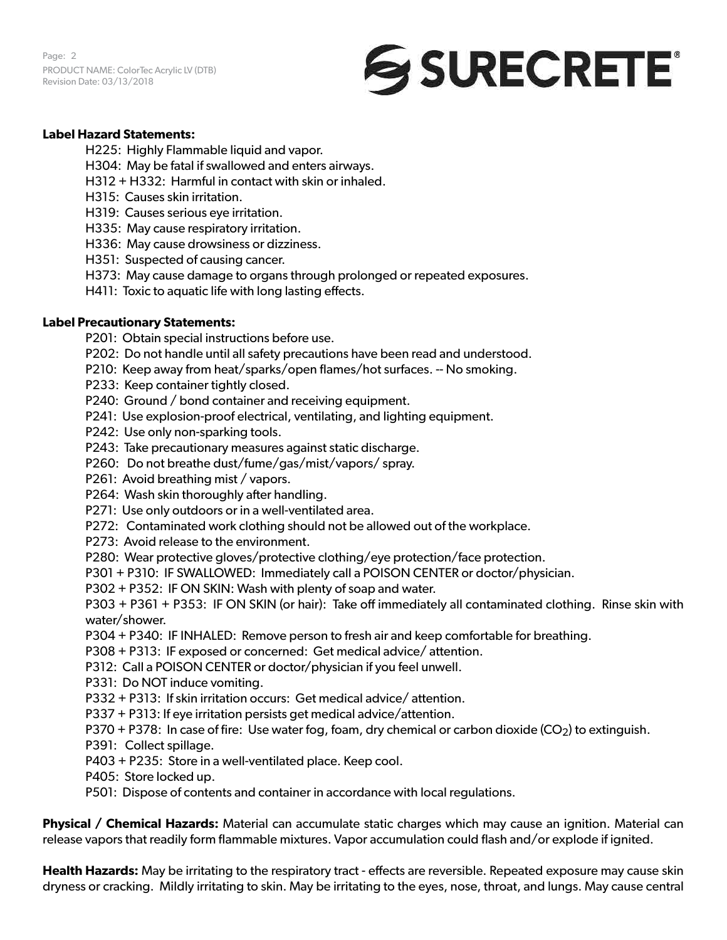Page: 2 PRODUCT NAME: ColorTec Acrylic LV (DTB) Revision Date: 03/13/2018



## **Label Hazard Statements:**

H225: Highly Flammable liquid and vapor.

- H304: May be fatal if swallowed and enters airways.
- H312 + H332: Harmful in contact with skin or inhaled.
- H315: Causes skin irritation.
- H319: Causes serious eye irritation.
- H335: May cause respiratory irritation.
- H336: May cause drowsiness or dizziness.
- H351: Suspected of causing cancer.
- H373: May cause damage to organs through prolonged or repeated exposures.
- H411: Toxic to aquatic life with long lasting effects.

#### **Label Precautionary Statements:**

- P201: Obtain special instructions before use.
- P202: Do not handle until all safety precautions have been read and understood.
- P210: Keep away from heat/sparks/open flames/hot surfaces. -- No smoking.
- P233: Keep container tightly closed.
- P240: Ground / bond container and receiving equipment.
- P241: Use explosion-proof electrical, ventilating, and lighting equipment.
- P242: Use only non-sparking tools.
- P243: Take precautionary measures against static discharge.
- P260: Do not breathe dust/fume/gas/mist/vapors/ spray.
- P261: Avoid breathing mist / vapors.
- P264: Wash skin thoroughly after handling.
- P271: Use only outdoors or in a well-ventilated area.
- P272: Contaminated work clothing should not be allowed out of the workplace.
- P273: Avoid release to the environment.
- P280: Wear protective gloves/protective clothing/eye protection/face protection.
- P301 + P310: IF SWALLOWED: Immediately call a POISON CENTER or doctor/physician.
- P302 + P352: IF ON SKIN: Wash with plenty of soap and water.

P303 + P361 + P353: IF ON SKIN (or hair): Take off immediately all contaminated clothing. Rinse skin with water/shower.

- P304 + P340: IF INHALED: Remove person to fresh air and keep comfortable for breathing.
- P308 + P313: IF exposed or concerned: Get medical advice/ attention.
- P312: Call a POISON CENTER or doctor/physician if you feel unwell.
- P331: Do NOT induce vomiting.
- P332 + P313: If skin irritation occurs: Get medical advice/ attention.
- P337 + P313: If eye irritation persists get medical advice/attention.
- P370 + P378: In case of fire: Use water fog, foam, dry chemical or carbon dioxide ( $CO<sub>2</sub>$ ) to extinguish.
- P391: Collect spillage.
- P403 + P235: Store in a well-ventilated place. Keep cool.
- P405: Store locked up.
- P501: Dispose of contents and container in accordance with local regulations.

**Physical / Chemical Hazards:** Material can accumulate static charges which may cause an ignition. Material can release vapors that readily form flammable mixtures. Vapor accumulation could flash and/or explode if ignited.

**Health Hazards:** May be irritating to the respiratory tract - effects are reversible. Repeated exposure may cause skin dryness or cracking. Mildly irritating to skin. May be irritating to the eyes, nose, throat, and lungs. May cause central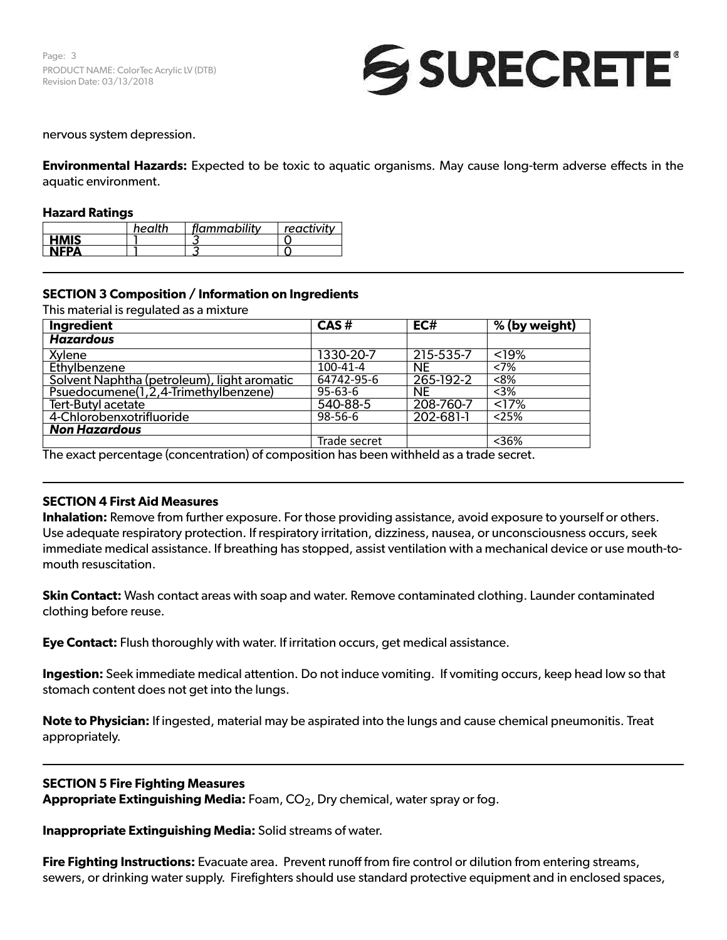Page: 3 PRODUCT NAME: ColorTec Acrylic LV (DTB) Revision Date: 03/13/2018



#### nervous system depression.

**Environmental Hazards:** Expected to be toxic to aquatic organisms. May cause long-term adverse effects in the aquatic environment.

#### **Hazard Ratings**

|             | health | flammability | reactivity |
|-------------|--------|--------------|------------|
| <b>HMIS</b> |        |              |            |
| <b>NEPA</b> |        |              |            |

## **SECTION 3 Composition / Information on Ingredients**

This material is regulated as a mixture

| CAS#          | EC#       | % (by weight)      |
|---------------|-----------|--------------------|
|               |           |                    |
| 1330-20-7     | 215-535-7 | < 19%              |
| 100-41-4      | <b>NE</b> | <7%                |
| 64742-95-6    | 265-192-2 | < 8%               |
| $95 - 63 - 6$ | <b>NE</b> | $3%$               |
| 540-88-5      | 208-760-7 | $\overline{517\%}$ |
| 98-56-6       | 202-681-1 | 25%                |
|               |           |                    |
| Trade secret  |           | $36%$              |
|               |           | $\cdots$           |

The exact percentage (concentration) of composition has been withheld as a trade secret.

#### **SECTION 4 First Aid Measures**

**Inhalation:** Remove from further exposure. For those providing assistance, avoid exposure to yourself or others. Use adequate respiratory protection. If respiratory irritation, dizziness, nausea, or unconsciousness occurs, seek immediate medical assistance. If breathing has stopped, assist ventilation with a mechanical device or use mouth-tomouth resuscitation.

**Skin Contact:** Wash contact areas with soap and water. Remove contaminated clothing. Launder contaminated clothing before reuse.

**Eye Contact:** Flush thoroughly with water. If irritation occurs, get medical assistance.

**Ingestion:** Seek immediate medical attention. Do not induce vomiting. If vomiting occurs, keep head low so that stomach content does not get into the lungs.

**Note to Physician:** If ingested, material may be aspirated into the lungs and cause chemical pneumonitis. Treat appropriately.

#### **SECTION 5 Fire Fighting Measures**

**Appropriate Extinguishing Media:** Foam, CO2, Dry chemical, water spray or fog.

**Inappropriate Extinguishing Media:** Solid streams of water.

**Fire Fighting Instructions:** Evacuate area. Prevent runoff from fire control or dilution from entering streams, sewers, or drinking water supply. Firefighters should use standard protective equipment and in enclosed spaces,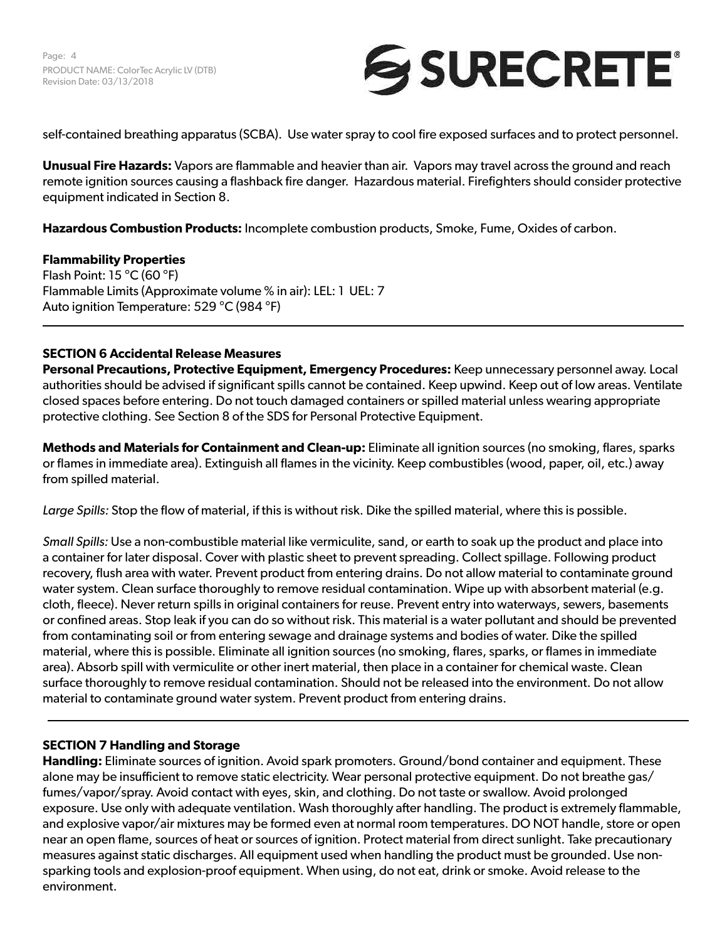

self-contained breathing apparatus (SCBA). Use water spray to cool fire exposed surfaces and to protect personnel.

**Unusual Fire Hazards:** Vapors are flammable and heavier than air. Vapors may travel across the ground and reach remote ignition sources causing a flashback fire danger. Hazardous material. Firefighters should consider protective equipment indicated in Section 8.

**Hazardous Combustion Products:** Incomplete combustion products, Smoke, Fume, Oxides of carbon.

## **Flammability Properties**

Flash Point: 15 °C (60 °F) Flammable Limits (Approximate volume % in air): LEL: 1 UEL: 7 Auto ignition Temperature: 529 °C (984 °F)

## **SECTION 6 Accidental Release Measures**

**Personal Precautions, Protective Equipment, Emergency Procedures:** Keep unnecessary personnel away. Local authorities should be advised if significant spills cannot be contained. Keep upwind. Keep out of low areas. Ventilate closed spaces before entering. Do not touch damaged containers or spilled material unless wearing appropriate protective clothing. See Section 8 of the SDS for Personal Protective Equipment.

**Methods and Materials for Containment and Clean-up:** Eliminate all ignition sources (no smoking, flares, sparks or flames in immediate area). Extinguish all flames in the vicinity. Keep combustibles (wood, paper, oil, etc.) away from spilled material.

*Large Spills:* Stop the flow of material, if this is without risk. Dike the spilled material, where this is possible.

*Small Spills:* Use a non-combustible material like vermiculite, sand, or earth to soak up the product and place into a container for later disposal. Cover with plastic sheet to prevent spreading. Collect spillage. Following product recovery, flush area with water. Prevent product from entering drains. Do not allow material to contaminate ground water system. Clean surface thoroughly to remove residual contamination. Wipe up with absorbent material (e.g. cloth, fleece). Never return spills in original containers for reuse. Prevent entry into waterways, sewers, basements or confined areas. Stop leak if you can do so without risk. This material is a water pollutant and should be prevented from contaminating soil or from entering sewage and drainage systems and bodies of water. Dike the spilled material, where this is possible. Eliminate all ignition sources (no smoking, flares, sparks, or flames in immediate area). Absorb spill with vermiculite or other inert material, then place in a container for chemical waste. Clean surface thoroughly to remove residual contamination. Should not be released into the environment. Do not allow material to contaminate ground water system. Prevent product from entering drains.

## **SECTION 7 Handling and Storage**

**Handling:** Eliminate sources of ignition. Avoid spark promoters. Ground/bond container and equipment. These alone may be insufficient to remove static electricity. Wear personal protective equipment. Do not breathe gas/ fumes/vapor/spray. Avoid contact with eyes, skin, and clothing. Do not taste or swallow. Avoid prolonged exposure. Use only with adequate ventilation. Wash thoroughly after handling. The product is extremely flammable, and explosive vapor/air mixtures may be formed even at normal room temperatures. DO NOT handle, store or open near an open flame, sources of heat or sources of ignition. Protect material from direct sunlight. Take precautionary measures against static discharges. All equipment used when handling the product must be grounded. Use nonsparking tools and explosion-proof equipment. When using, do not eat, drink or smoke. Avoid release to the environment.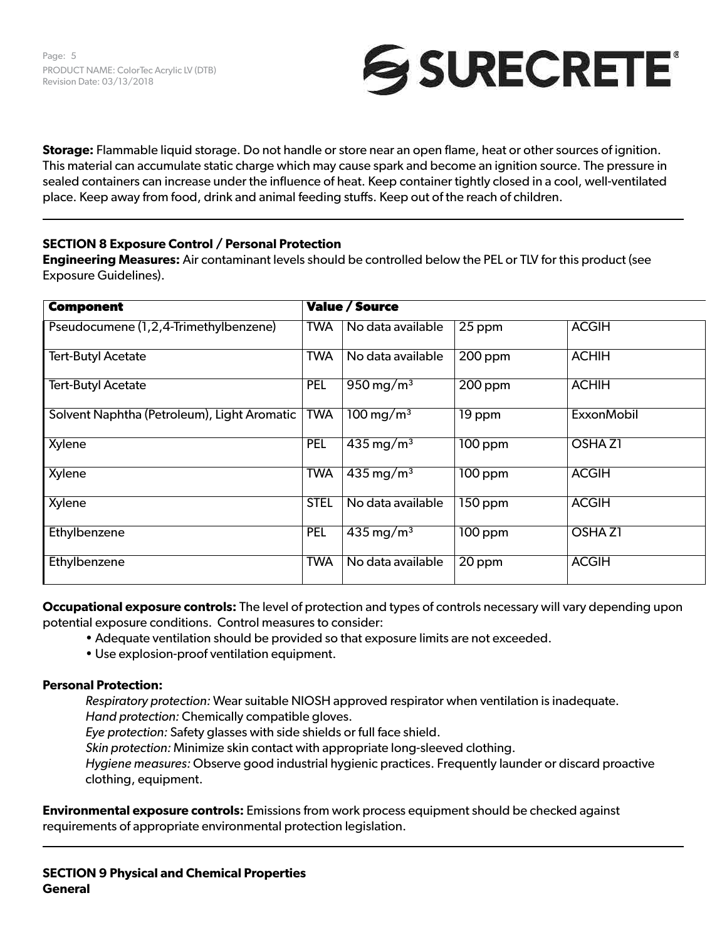

**Storage:** Flammable liquid storage. Do not handle or store near an open flame, heat or other sources of ignition. This material can accumulate static charge which may cause spark and become an ignition source. The pressure in sealed containers can increase under the influence of heat. Keep container tightly closed in a cool, well-ventilated place. Keep away from food, drink and animal feeding stuffs. Keep out of the reach of children.

## **SECTION 8 Exposure Control / Personal Protection**

**Engineering Measures:** Air contaminant levels should be controlled below the PEL or TLV for this product (see Exposure Guidelines).

| <b>Component</b>                            |             | <b>Value / Source</b>              |                      |                   |
|---------------------------------------------|-------------|------------------------------------|----------------------|-------------------|
| Pseudocumene (1,2,4-Trimethylbenzene)       | <b>TWA</b>  | No data available                  | 25 ppm               | <b>ACGIH</b>      |
| <b>Tert-Butyl Acetate</b>                   | <b>TWA</b>  | No data available                  | $200$ ppm            | <b>ACHIH</b>      |
| <b>Tert-Butyl Acetate</b>                   | <b>PEL</b>  | $950 \,\mathrm{mg/m^3}$            | $200$ ppm            | <b>ACHIH</b>      |
| Solvent Naphtha (Petroleum), Light Aromatic | <b>TWA</b>  | $100 \,\mathrm{mg/m^3}$            | 19 ppm               | <b>ExxonMobil</b> |
| Xylene                                      | <b>PEL</b>  | $435 \,\mathrm{mg/m^3}$            | 100 ppm              | <b>OSHAZ1</b>     |
| Xylene                                      | <b>TWA</b>  | $\overline{435}$ mg/m <sup>3</sup> | $\overline{100}$ ppm | <b>ACGIH</b>      |
| Xylene                                      | <b>STEL</b> | No data available                  | 150 ppm              | <b>ACGIH</b>      |
| Ethylbenzene                                | <b>PEL</b>  | $435 \,\mathrm{mg/m^3}$            | $\overline{100}$ ppm | <b>OSHAZ1</b>     |
| Ethylbenzene                                | <b>TWA</b>  | No data available                  | 20 ppm               | <b>ACGIH</b>      |

**Occupational exposure controls:** The level of protection and types of controls necessary will vary depending upon potential exposure conditions. Control measures to consider:

- Adequate ventilation should be provided so that exposure limits are not exceeded.
- Use explosion-proof ventilation equipment.

## **Personal Protection:**

*Respiratory protection:* Wear suitable NIOSH approved respirator when ventilation is inadequate. *Hand protection:* Chemically compatible gloves.

*Eye protection:* Safety glasses with side shields or full face shield.

*Skin protection:* Minimize skin contact with appropriate long-sleeved clothing.

*Hygiene measures:* Observe good industrial hygienic practices. Frequently launder or discard proactive clothing, equipment.

**Environmental exposure controls:** Emissions from work process equipment should be checked against requirements of appropriate environmental protection legislation.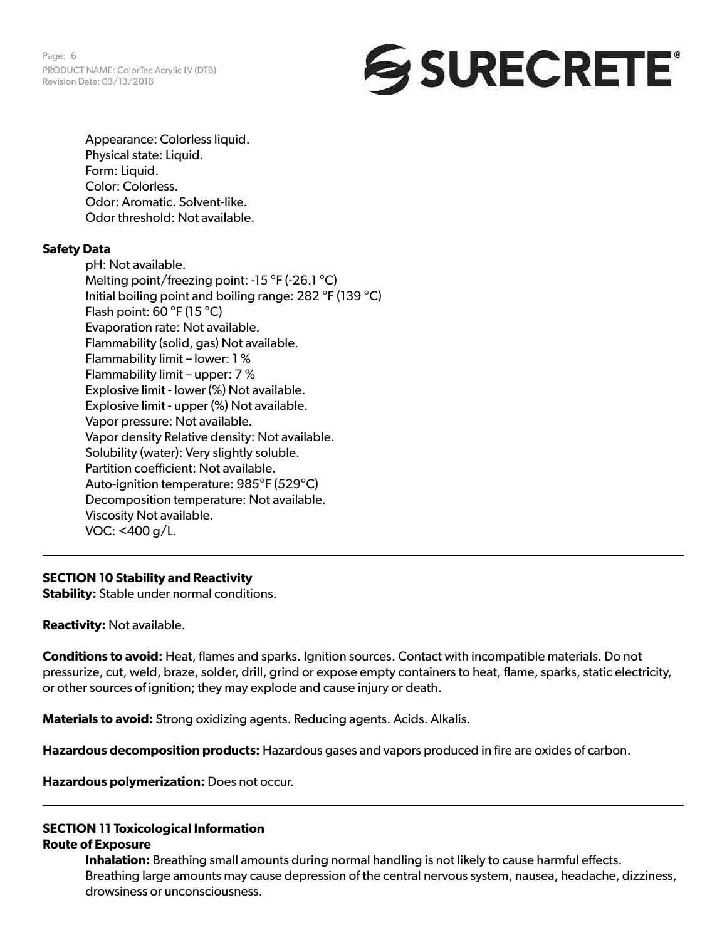Page: 6 PRODUCT NAME: ColorTec Acrylic LV (DTB) Revision Date: 03/13/2018

# **SURECRETE**

Appearance: Colorless liquid. Physical state: Liquid. Form: Liquid. Color: Colorless. Odor: Aromatic. Solvent-like. Odor threshold: Not available.

## **Safety Data**

pH: Not available. Melting point/freezing point: -15 °F (-26.1 °C) Initial boiling point and boiling range: 282 °F (139 °C) Flash point:  $60 °F (15 °C)$ Evaporation rate: Not available. Flammability (solid, gas) Not available. Flammability limit – lower: 1 % Flammability limit – upper: 7 % Explosive limit - lower (%) Not available. Explosive limit - upper (%) Not available. Vapor pressure: Not available. Vapor density Relative density: Not available. Solubility (water): Very slightly soluble. Partition coefficient: Not available. Auto-ignition temperature: 985°F (529°C) Decomposition temperature: Not available. Viscosity Not available. VOC: <400 g/L.

## **SECTION 10 Stability and Reactivity**

**Stability:** Stable under normal conditions.

**Reactivity:** Not available.

**Conditions to avoid:** Heat, flames and sparks. Ignition sources. Contact with incompatible materials. Do not pressurize, cut, weld, braze, solder, drill, grind or expose empty containers to heat, flame, sparks, static electricity, or other sources of ignition; they may explode and cause injury or death.

**Materials to avoid:** Strong oxidizing agents. Reducing agents. Acids. Alkalis.

**Hazardous decomposition products:** Hazardous gases and vapors produced in fire are oxides of carbon.

**Hazardous polymerization:** Does not occur.

#### **SECTION 11 Toxicological Information Route of Exposure**

**Inhalation:** Breathing small amounts during normal handling is not likely to cause harmful effects. Breathing large amounts may cause depression of the central nervous system, nausea, headache, dizziness, drowsiness or unconsciousness.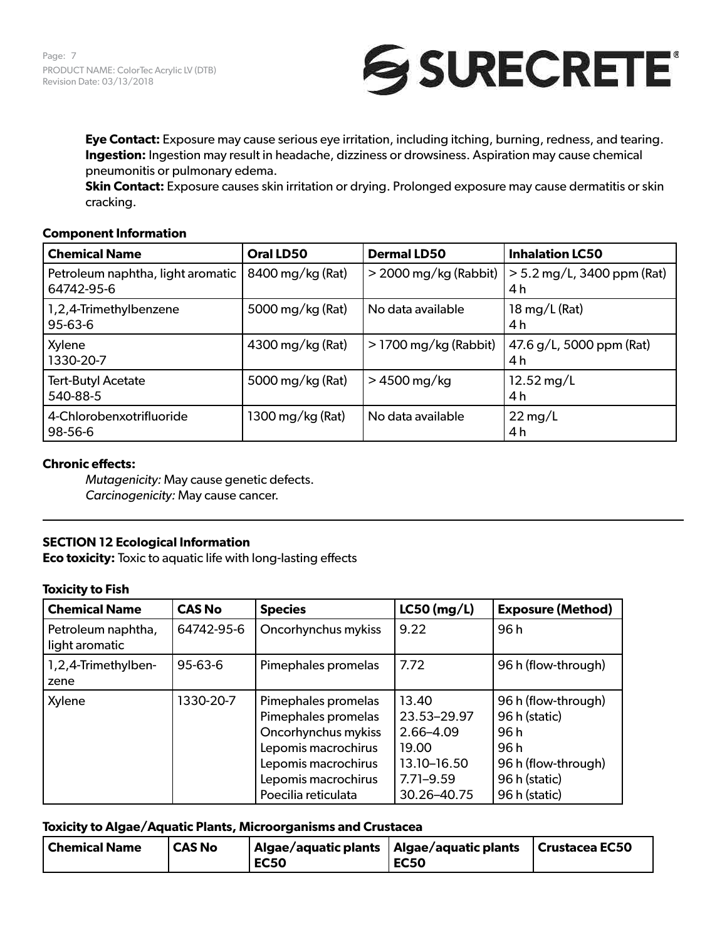

**Eye Contact:** Exposure may cause serious eye irritation, including itching, burning, redness, and tearing. **Ingestion:** Ingestion may result in headache, dizziness or drowsiness. Aspiration may cause chemical pneumonitis or pulmonary edema.

**Skin Contact:** Exposure causes skin irritation or drying. Prolonged exposure may cause dermatitis or skin cracking.

#### **Component Information**

| <b>Chemical Name</b>                            | Oral LD50        | <b>Dermal LD50</b>      | <b>Inhalation LC50</b>              |
|-------------------------------------------------|------------------|-------------------------|-------------------------------------|
| Petroleum naphtha, light aromatic<br>64742-95-6 | 8400 mg/kg (Rat) | $>$ 2000 mg/kg (Rabbit) | $> 5.2$ mg/L, 3400 ppm (Rat)<br>4 h |
| 1,2,4-Trimethylbenzene<br>$95 - 63 - 6$         | 5000 mg/kg (Rat) | No data available       | $18 \,\mathrm{mg/L}$ (Rat)<br>4 h   |
| Xylene<br>1330-20-7                             | 4300 mg/kg (Rat) | $>$ 1700 mg/kg (Rabbit) | 47.6 g/L, 5000 ppm (Rat)<br>4 h     |
| <b>Tert-Butyl Acetate</b><br>540-88-5           | 5000 mg/kg (Rat) | $>4500$ mg/kg           | $12.52 \,\mathrm{mg/L}$<br>4 h      |
| 4-Chlorobenxotrifluoride<br>98-56-6             | 1300 mg/kg (Rat) | No data available       | $22 \,\mathrm{mg/L}$<br>4 h         |

#### **Chronic effects:**

*Mutagenicity:* May cause genetic defects. *Carcinogenicity:* May cause cancer.

## **SECTION 12 Ecological Information**

**Eco toxicity:** Toxic to aquatic life with long-lasting effects

#### **Toxicity to Fish**

| <b>Chemical Name</b>                 | <b>CAS No</b> | <b>Species</b>                                                                                                                                                | $LC50$ (mg/L)                                                                             | <b>Exposure (Method)</b>                                                                                      |
|--------------------------------------|---------------|---------------------------------------------------------------------------------------------------------------------------------------------------------------|-------------------------------------------------------------------------------------------|---------------------------------------------------------------------------------------------------------------|
| Petroleum naphtha,<br>light aromatic | 64742-95-6    | Oncorhynchus mykiss                                                                                                                                           | 9.22                                                                                      | 96 h                                                                                                          |
| 1,2,4-Trimethylben-<br>zene          | 95-63-6       | Pimephales promelas                                                                                                                                           | 7.72                                                                                      | 96 h (flow-through)                                                                                           |
| Xylene                               | 1330-20-7     | Pimephales promelas<br>Pimephales promelas<br>Oncorhynchus mykiss<br>Lepomis macrochirus<br>Lepomis macrochirus<br>Lepomis macrochirus<br>Poecilia reticulata | 13.40<br>23.53-29.97<br>2.66-4.09<br>19.00<br>13.10-16.50<br>$7.71 - 9.59$<br>30.26-40.75 | 96 h (flow-through)<br>96 h (static)<br>96 h<br>96 h<br>96 h (flow-through)<br>96 h (static)<br>96 h (static) |

## **Toxicity to Algae/Aquatic Plants, Microorganisms and Crustacea**

| Chemical Name | <sup>I</sup> CAS No | Algae/aquatic plants   Algae/aquatic plants |             | Crustacea EC50 |
|---------------|---------------------|---------------------------------------------|-------------|----------------|
|               |                     | <b>EC50</b>                                 | <b>EC50</b> |                |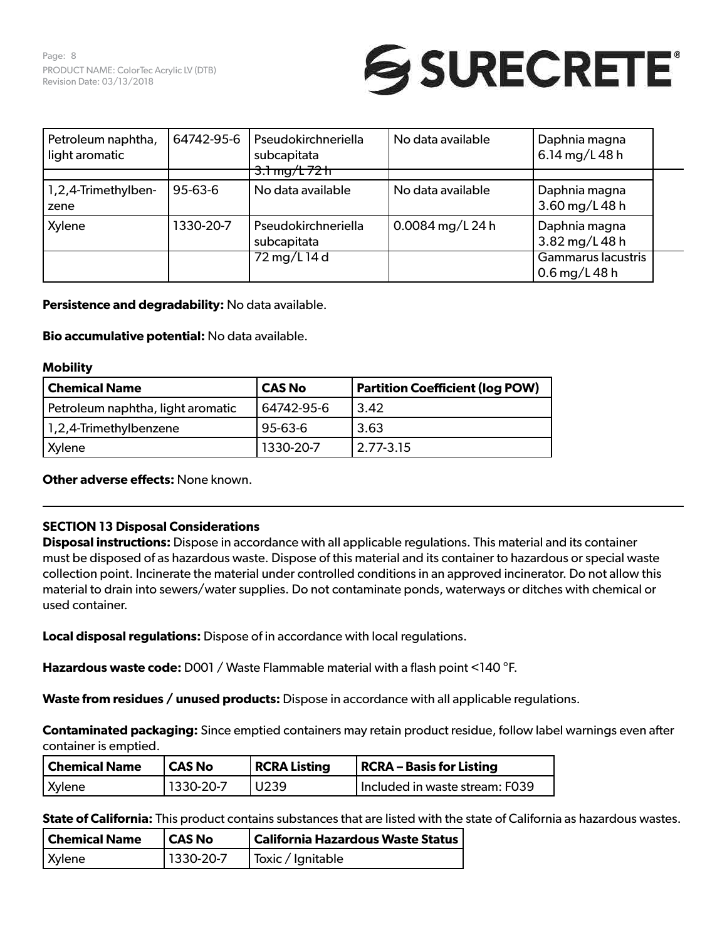Page: 8 PRODUCT NAME: ColorTec Acrylic LV (DTB) Revision Date: 03/13/2018



| Petroleum naphtha,<br>light aromatic | 64742-95-6    | Pseudokirchneriella<br>subcapitata<br>$-3.1$ mg/ $+72$ h | No data available | Daphnia magna<br>6.14 mg/L 48 h       |  |
|--------------------------------------|---------------|----------------------------------------------------------|-------------------|---------------------------------------|--|
|                                      |               |                                                          |                   |                                       |  |
| 1,2,4-Trimethylben-<br>zene          | $95 - 63 - 6$ | No data available                                        | No data available | Daphnia magna<br>3.60 mg/L 48 h       |  |
| Xylene                               | 1330-20-7     | Pseudokirchneriella<br>subcapitata                       | 0.0084 mg/L 24 h  | Daphnia magna<br>3.82 mg/L 48 h       |  |
|                                      |               | 72 mg/L 14 d                                             |                   | Gammarus lacustris<br>$0.6$ mg/L 48 h |  |

**Persistence and degradability:** No data available.

**Bio accumulative potential:** No data available.

#### **Mobility**

| Chemical Name                     | <b>CAS No</b> | <b>Partition Coefficient (log POW)</b> |
|-----------------------------------|---------------|----------------------------------------|
| Petroleum naphtha, light aromatic | 64742-95-6    | 3.42                                   |
| 1,2,4-Trimethylbenzene            | 95-63-6       | 3.63                                   |
| Xylene                            | 1330-20-7     | 2.77-3.15                              |

**Other adverse effects:** None known.

## **SECTION 13 Disposal Considerations**

**Disposal instructions:** Dispose in accordance with all applicable regulations. This material and its container must be disposed of as hazardous waste. Dispose of this material and its container to hazardous or special waste collection point. Incinerate the material under controlled conditions in an approved incinerator. Do not allow this material to drain into sewers/water supplies. Do not contaminate ponds, waterways or ditches with chemical or used container.

**Local disposal regulations:** Dispose of in accordance with local regulations.

**Hazardous waste code:** D001 / Waste Flammable material with a flash point <140 °F.

**Waste from residues / unused products:** Dispose in accordance with all applicable regulations.

**Contaminated packaging:** Since emptied containers may retain product residue, follow label warnings even after container is emptied.

| Chemical Name | CAS No     | <b>RCRA Listing</b> | RCRA – Basis for Listing       |
|---------------|------------|---------------------|--------------------------------|
| Xylene        | 11330-20-7 | l U239              | Included in waste stream: F039 |

**State of California:** This product contains substances that are listed with the state of California as hazardous wastes.

| <b>Chemical Name</b> | <b>CAS No</b> | California Hazardous Waste Status |
|----------------------|---------------|-----------------------------------|
| <b>Xylene</b>        | 1330-20-7     | Toxic / Ignitable                 |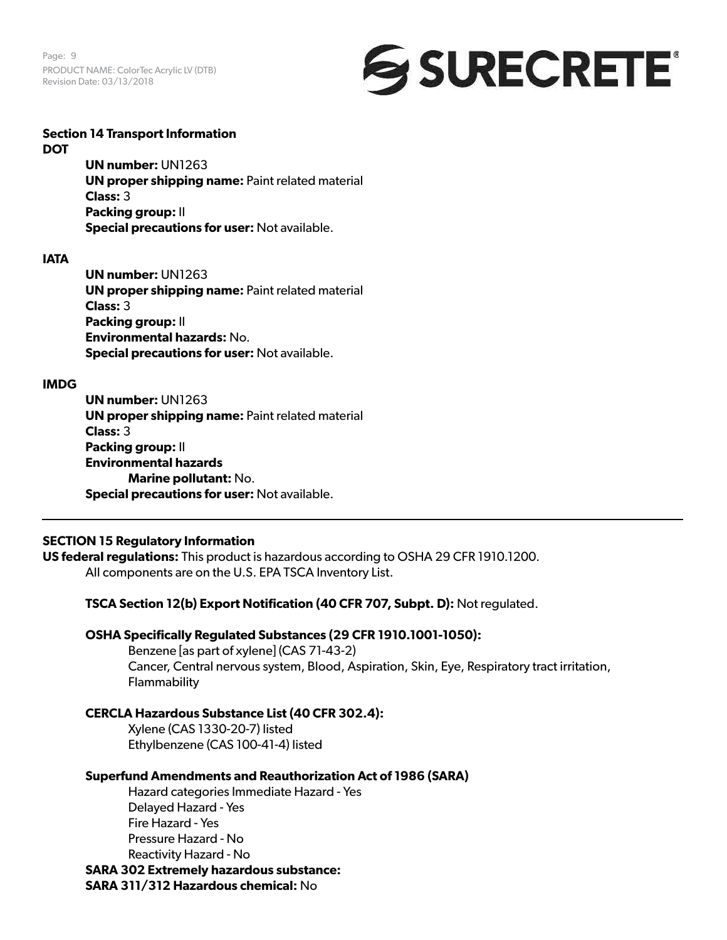Page: 9 PRODUCT NAME: ColorTec Acrylic LV (DTB) Revision Date: 03/13/2018



#### **Section 14 Transport Information DOT**

**UN number:** UN1263 **UN proper shipping name: Paint related material Class:** 3 **Packing group:** II **Special precautions for user:** Not available.

#### **IATA**

**UN number:** UN1263 **UN proper shipping name: Paint related material Class:** 3 **Packing group:** II **Environmental hazards:** No. **Special precautions for user:** Not available.

## **IMDG**

**UN number:** UN1263 **UN proper shipping name: Paint related material Class:** 3 **Packing group:** II **Environmental hazards Marine pollutant:** No. **Special precautions for user:** Not available.

## **SECTION 15 Regulatory Information**

**US federal regulations:** This product is hazardous according to OSHA 29 CFR 1910.1200. All components are on the U.S. EPA TSCA Inventory List.

**TSCA Section 12(b) Export Notification (40 CFR 707, Subpt. D):** Not regulated.

## **OSHA Specifically Regulated Substances (29 CFR 1910.1001-1050):**

Benzene [as part of xylene] (CAS 71-43-2) Cancer, Central nervous system, Blood, Aspiration, Skin, Eye, Respiratory tract irritation, Flammability

## **CERCLA Hazardous Substance List (40 CFR 302.4):**

Xylene (CAS 1330-20-7) listed Ethylbenzene (CAS 100-41-4) listed

## **Superfund Amendments and Reauthorization Act of 1986 (SARA)**

Hazard categories Immediate Hazard - Yes Delayed Hazard - Yes Fire Hazard - Yes Pressure Hazard - No Reactivity Hazard - No

**SARA 302 Extremely hazardous substance:**

**SARA 311/312 Hazardous chemical:** No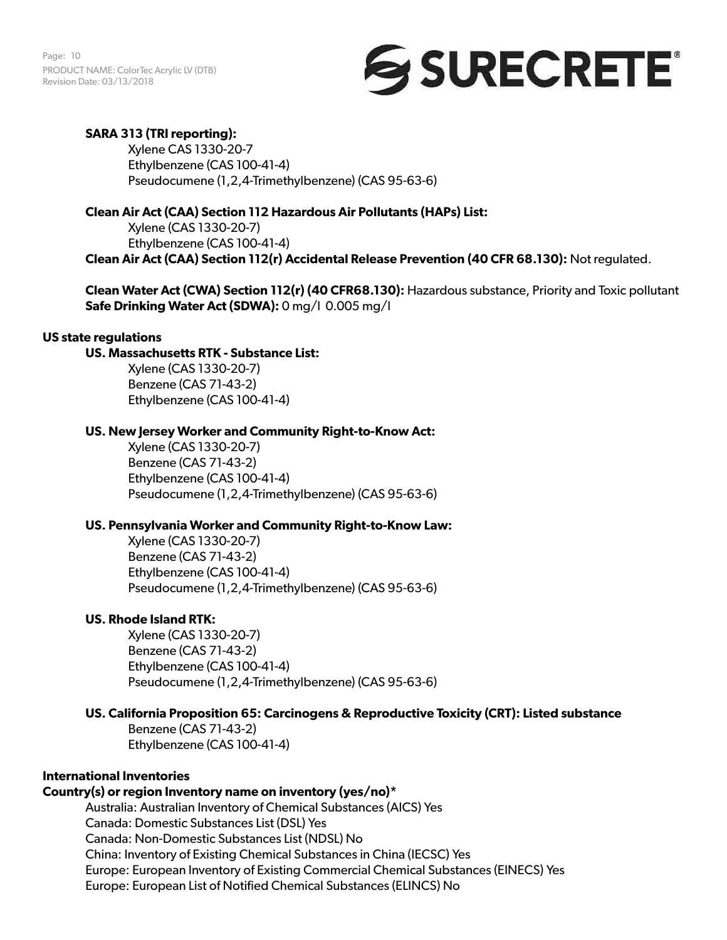Page: 10 PRODUCT NAME: ColorTec Acrylic LV (DTB) Revision Date: 03/13/2018

# SURECRETE®

## **SARA 313 (TRI reporting):**

Xylene CAS 1330-20-7 Ethylbenzene (CAS 100-41-4) Pseudocumene (1,2,4-Trimethylbenzene) (CAS 95-63-6)

## **Clean Air Act (CAA) Section 112 Hazardous Air Pollutants (HAPs) List:**

Xylene (CAS 1330-20-7) Ethylbenzene (CAS 100-41-4) **Clean Air Act (CAA) Section 112(r) Accidental Release Prevention (40 CFR 68.130):** Not regulated.

**Clean Water Act (CWA) Section 112(r) (40 CFR68.130):** Hazardous substance, Priority and Toxic pollutant **Safe Drinking Water Act (SDWA):** 0 mg/l 0.005 mg/l

## **US state regulations**

## **US. Massachusetts RTK - Substance List:**

Xylene (CAS 1330-20-7) Benzene (CAS 71-43-2) Ethylbenzene (CAS 100-41-4)

## **US. New Jersey Worker and Community Right-to-Know Act:**

Xylene (CAS 1330-20-7) Benzene (CAS 71-43-2) Ethylbenzene (CAS 100-41-4) Pseudocumene (1,2,4-Trimethylbenzene) (CAS 95-63-6)

## **US. Pennsylvania Worker and Community Right-to-Know Law:**

Xylene (CAS 1330-20-7) Benzene (CAS 71-43-2) Ethylbenzene (CAS 100-41-4) Pseudocumene (1,2,4-Trimethylbenzene) (CAS 95-63-6)

## **US. Rhode Island RTK:**

Xylene (CAS 1330-20-7) Benzene (CAS 71-43-2) Ethylbenzene (CAS 100-41-4) Pseudocumene (1,2,4-Trimethylbenzene) (CAS 95-63-6)

## **US. California Proposition 65: Carcinogens & Reproductive Toxicity (CRT): Listed substance**

Benzene (CAS 71-43-2) Ethylbenzene (CAS 100-41-4)

## **International Inventories**

## **Country(s) or region Inventory name on inventory (yes/no)\***

Australia: Australian Inventory of Chemical Substances (AICS) Yes Canada: Domestic Substances List (DSL) Yes Canada: Non-Domestic Substances List (NDSL) No China: Inventory of Existing Chemical Substances in China (IECSC) Yes

Europe: European Inventory of Existing Commercial Chemical Substances (EINECS) Yes

Europe: European List of Notified Chemical Substances (ELINCS) No